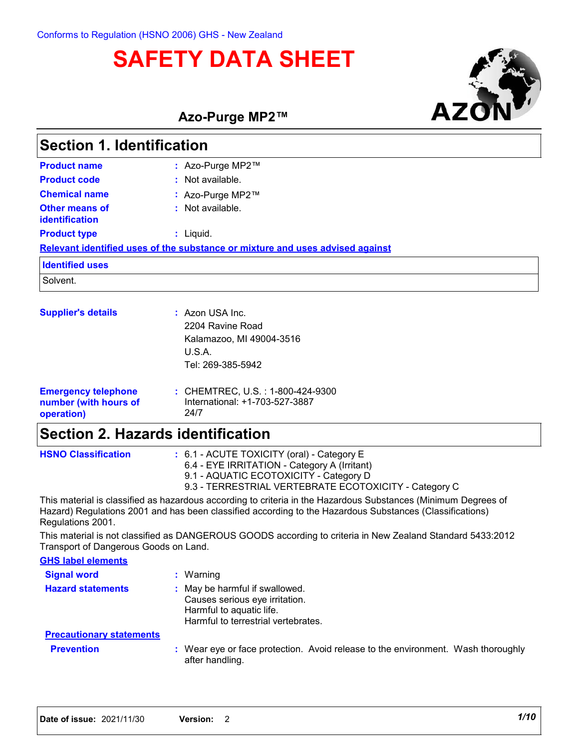# **SAFETY DATA SHEET**



**Azo-Purge MP2™**

| Section 1. Identification                                         |                                                                                                |  |  |
|-------------------------------------------------------------------|------------------------------------------------------------------------------------------------|--|--|
| <b>Product name</b>                                               | : Azo-Purge MP2™                                                                               |  |  |
| <b>Product code</b>                                               | $:$ Not available.                                                                             |  |  |
| <b>Chemical name</b>                                              | : Azo-Purge MP2™                                                                               |  |  |
| Other means of<br><b>identification</b>                           | : Not available.                                                                               |  |  |
| <b>Product type</b>                                               | $:$ Liquid.                                                                                    |  |  |
|                                                                   | Relevant identified uses of the substance or mixture and uses advised against                  |  |  |
| <b>Identified uses</b>                                            |                                                                                                |  |  |
| Solvent.                                                          |                                                                                                |  |  |
| <b>Supplier's details</b>                                         | : Azon USA Inc.<br>2204 Ravine Road<br>Kalamazoo, MI 49004-3516<br>U.S.A.<br>Tel: 269-385-5942 |  |  |
| <b>Emergency telephone</b><br>number (with hours of<br>operation) | : CHEMTREC, U.S. : 1-800-424-9300<br>International: +1-703-527-3887<br>24/7                    |  |  |
| <b>Section 2. Hazards identification</b>                          |                                                                                                |  |  |

| <b>HSNO Classification</b> | $\div$ 6.1 - ACUTE TOXICITY (oral) - Category E                                                                |
|----------------------------|----------------------------------------------------------------------------------------------------------------|
|                            | 6.4 - EYE IRRITATION - Category A (Irritant)                                                                   |
|                            | 9.1 - AQUATIC ECOTOXICITY - Category D                                                                         |
|                            | 9.3 - TERRESTRIAL VERTEBRATE ECOTOXICITY - Category C                                                          |
|                            | This material is eleccified as hererdous asserding to sriteria in the Usrandous Cubetanees (Minimum Degrees of |

This material is classified as hazardous according to criteria in the Hazardous Substances (Minimum Degrees of Hazard) Regulations 2001 and has been classified according to the Hazardous Substances (Classifications) Regulations 2001.

This material is not classified as DANGEROUS GOODS according to criteria in New Zealand Standard 5433:2012 Transport of Dangerous Goods on Land.

| <b>GHS label elements</b>       |                                                                                                                                     |
|---------------------------------|-------------------------------------------------------------------------------------------------------------------------------------|
| <b>Signal word</b>              | $:$ Warning                                                                                                                         |
| <b>Hazard statements</b>        | : May be harmful if swallowed.<br>Causes serious eye irritation.<br>Harmful to aquatic life.<br>Harmful to terrestrial vertebrates. |
| <b>Precautionary statements</b> |                                                                                                                                     |
| <b>Prevention</b>               | : Wear eye or face protection. Avoid release to the environment. Wash thoroughly<br>after handling.                                 |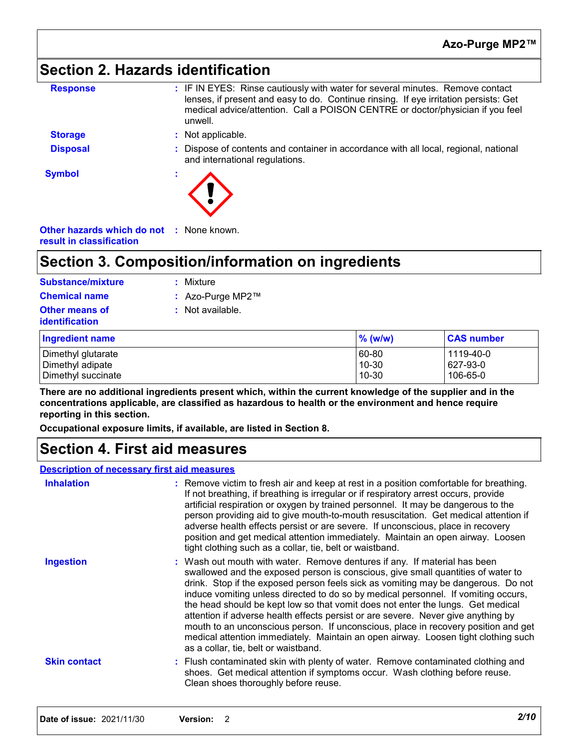### **Section 2. Hazards identification**

| <b>Response</b> | : IF IN EYES: Rinse cautiously with water for several minutes. Remove contact<br>lenses, if present and easy to do. Continue rinsing. If eye irritation persists: Get<br>medical advice/attention. Call a POISON CENTRE or doctor/physician if you feel<br>unwell. |
|-----------------|--------------------------------------------------------------------------------------------------------------------------------------------------------------------------------------------------------------------------------------------------------------------|
| <b>Storage</b>  | : Not applicable.                                                                                                                                                                                                                                                  |
| <b>Disposal</b> | : Dispose of contents and container in accordance with all local, regional, national<br>and international regulations.                                                                                                                                             |
| <b>Symbol</b>   |                                                                                                                                                                                                                                                                    |

**Other hazards which do not :** None known. **result in classification**

### **Section 3. Composition/information on ingredients**

| <b>Substance/mixture</b>                       | Mixture          |         |                   |
|------------------------------------------------|------------------|---------|-------------------|
| <b>Chemical name</b>                           | : Azo-Purge MP2™ |         |                   |
| <b>Other means of</b><br><b>identification</b> | Not available.   |         |                   |
| <b>Ingredient name</b>                         |                  | % (w/w) | <b>CAS number</b> |
| Dimethyl glutarate                             |                  | 60-80   | 1119-40-0         |
| Dimethyl adipate                               |                  | 10-30   | 627-93-0          |
| Dimethyl succinate                             |                  | 10-30   | 106-65-0          |

**There are no additional ingredients present which, within the current knowledge of the supplier and in the concentrations applicable, are classified as hazardous to health or the environment and hence require reporting in this section.**

**Occupational exposure limits, if available, are listed in Section 8.**

### **Section 4. First aid measures**

#### **Description of necessary first aid measures**

| <b>Inhalation</b>   | : Remove victim to fresh air and keep at rest in a position comfortable for breathing.<br>If not breathing, if breathing is irregular or if respiratory arrest occurs, provide<br>artificial respiration or oxygen by trained personnel. It may be dangerous to the<br>person providing aid to give mouth-to-mouth resuscitation. Get medical attention if<br>adverse health effects persist or are severe. If unconscious, place in recovery<br>position and get medical attention immediately. Maintain an open airway. Loosen<br>tight clothing such as a collar, tie, belt or waistband.                                                                                                                                         |
|---------------------|--------------------------------------------------------------------------------------------------------------------------------------------------------------------------------------------------------------------------------------------------------------------------------------------------------------------------------------------------------------------------------------------------------------------------------------------------------------------------------------------------------------------------------------------------------------------------------------------------------------------------------------------------------------------------------------------------------------------------------------|
| <b>Ingestion</b>    | : Wash out mouth with water. Remove dentures if any. If material has been<br>swallowed and the exposed person is conscious, give small quantities of water to<br>drink. Stop if the exposed person feels sick as vomiting may be dangerous. Do not<br>induce vomiting unless directed to do so by medical personnel. If vomiting occurs,<br>the head should be kept low so that vomit does not enter the lungs. Get medical<br>attention if adverse health effects persist or are severe. Never give anything by<br>mouth to an unconscious person. If unconscious, place in recovery position and get<br>medical attention immediately. Maintain an open airway. Loosen tight clothing such<br>as a collar, tie, belt or waistband. |
| <b>Skin contact</b> | : Flush contaminated skin with plenty of water. Remove contaminated clothing and<br>shoes. Get medical attention if symptoms occur. Wash clothing before reuse.<br>Clean shoes thoroughly before reuse.                                                                                                                                                                                                                                                                                                                                                                                                                                                                                                                              |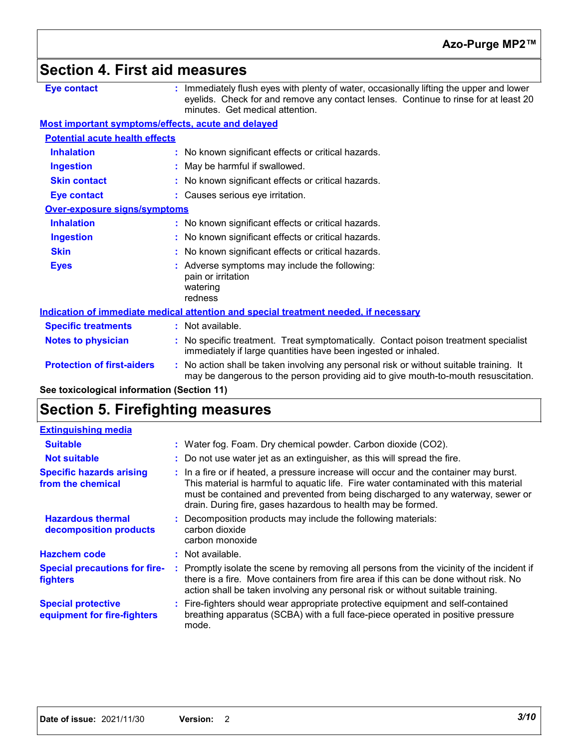### **Section 4. First aid measures**

| <b>Eye contact</b>                                 | : Immediately flush eyes with plenty of water, occasionally lifting the upper and lower<br>eyelids. Check for and remove any contact lenses. Continue to rinse for at least 20<br>minutes. Get medical attention. |
|----------------------------------------------------|-------------------------------------------------------------------------------------------------------------------------------------------------------------------------------------------------------------------|
| Most important symptoms/effects, acute and delayed |                                                                                                                                                                                                                   |
| <b>Potential acute health effects</b>              |                                                                                                                                                                                                                   |
| <b>Inhalation</b>                                  | : No known significant effects or critical hazards.                                                                                                                                                               |
| <b>Ingestion</b>                                   | : May be harmful if swallowed.                                                                                                                                                                                    |
| <b>Skin contact</b>                                | : No known significant effects or critical hazards.                                                                                                                                                               |
| <b>Eye contact</b>                                 | : Causes serious eye irritation.                                                                                                                                                                                  |
| <b>Over-exposure signs/symptoms</b>                |                                                                                                                                                                                                                   |
| <b>Inhalation</b>                                  | : No known significant effects or critical hazards.                                                                                                                                                               |
| <b>Ingestion</b>                                   | : No known significant effects or critical hazards.                                                                                                                                                               |
| <b>Skin</b>                                        | : No known significant effects or critical hazards.                                                                                                                                                               |
| <b>Eyes</b>                                        | : Adverse symptoms may include the following:<br>pain or irritation<br>watering<br>redness                                                                                                                        |
|                                                    | Indication of immediate medical attention and special treatment needed, if necessary                                                                                                                              |
| <b>Specific treatments</b>                         | : Not available.                                                                                                                                                                                                  |
| <b>Notes to physician</b>                          | : No specific treatment. Treat symptomatically. Contact poison treatment specialist<br>immediately if large quantities have been ingested or inhaled.                                                             |
| <b>Protection of first-aiders</b>                  | : No action shall be taken involving any personal risk or without suitable training. It<br>may be dangerous to the person providing aid to give mouth-to-mouth resuscitation.                                     |
|                                                    |                                                                                                                                                                                                                   |

**See toxicological information (Section 11)**

### **Section 5. Firefighting measures**

| <b>Extinguishing media</b>                               |                                                                                                                                                                                                                                                                                                                                  |
|----------------------------------------------------------|----------------------------------------------------------------------------------------------------------------------------------------------------------------------------------------------------------------------------------------------------------------------------------------------------------------------------------|
| <b>Suitable</b>                                          | : Water fog. Foam. Dry chemical powder. Carbon dioxide (CO2).                                                                                                                                                                                                                                                                    |
| <b>Not suitable</b>                                      | : Do not use water jet as an extinguisher, as this will spread the fire.                                                                                                                                                                                                                                                         |
| <b>Specific hazards arising</b><br>from the chemical     | : In a fire or if heated, a pressure increase will occur and the container may burst.<br>This material is harmful to aquatic life. Fire water contaminated with this material<br>must be contained and prevented from being discharged to any waterway, sewer or<br>drain. During fire, gases hazardous to health may be formed. |
| <b>Hazardous thermal</b><br>decomposition products       | : Decomposition products may include the following materials:<br>carbon dioxide<br>carbon monoxide                                                                                                                                                                                                                               |
| <b>Hazchem code</b>                                      | $:$ Not available.                                                                                                                                                                                                                                                                                                               |
| <b>Special precautions for fire-</b><br><b>fighters</b>  | : Promptly isolate the scene by removing all persons from the vicinity of the incident if<br>there is a fire. Move containers from fire area if this can be done without risk. No<br>action shall be taken involving any personal risk or without suitable training.                                                             |
| <b>Special protective</b><br>equipment for fire-fighters | : Fire-fighters should wear appropriate protective equipment and self-contained<br>breathing apparatus (SCBA) with a full face-piece operated in positive pressure<br>mode.                                                                                                                                                      |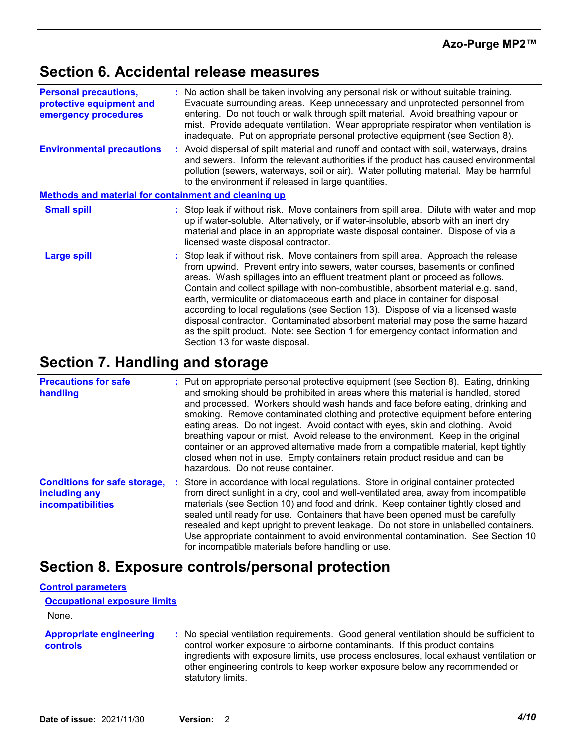### **Section 6. Accidental release measures**

| <b>Personal precautions,</b><br>protective equipment and<br>emergency procedures | : No action shall be taken involving any personal risk or without suitable training.<br>Evacuate surrounding areas. Keep unnecessary and unprotected personnel from<br>entering. Do not touch or walk through spilt material. Avoid breathing vapour or<br>mist. Provide adequate ventilation. Wear appropriate respirator when ventilation is<br>inadequate. Put on appropriate personal protective equipment (see Section 8).                                                                                                                                                                                                                                                                                   |  |
|----------------------------------------------------------------------------------|-------------------------------------------------------------------------------------------------------------------------------------------------------------------------------------------------------------------------------------------------------------------------------------------------------------------------------------------------------------------------------------------------------------------------------------------------------------------------------------------------------------------------------------------------------------------------------------------------------------------------------------------------------------------------------------------------------------------|--|
| <b>Environmental precautions</b>                                                 | : Avoid dispersal of spilt material and runoff and contact with soil, waterways, drains<br>and sewers. Inform the relevant authorities if the product has caused environmental<br>pollution (sewers, waterways, soil or air). Water polluting material. May be harmful<br>to the environment if released in large quantities.                                                                                                                                                                                                                                                                                                                                                                                     |  |
| <b>Methods and material for containment and cleaning up</b>                      |                                                                                                                                                                                                                                                                                                                                                                                                                                                                                                                                                                                                                                                                                                                   |  |
| <b>Small spill</b>                                                               | : Stop leak if without risk. Move containers from spill area. Dilute with water and mop<br>up if water-soluble. Alternatively, or if water-insoluble, absorb with an inert dry<br>material and place in an appropriate waste disposal container. Dispose of via a<br>licensed waste disposal contractor.                                                                                                                                                                                                                                                                                                                                                                                                          |  |
| <b>Large spill</b>                                                               | : Stop leak if without risk. Move containers from spill area. Approach the release<br>from upwind. Prevent entry into sewers, water courses, basements or confined<br>areas. Wash spillages into an effluent treatment plant or proceed as follows.<br>Contain and collect spillage with non-combustible, absorbent material e.g. sand,<br>earth, vermiculite or diatomaceous earth and place in container for disposal<br>according to local regulations (see Section 13). Dispose of via a licensed waste<br>disposal contractor. Contaminated absorbent material may pose the same hazard<br>as the spilt product. Note: see Section 1 for emergency contact information and<br>Section 13 for waste disposal. |  |

### **Section 7. Handling and storage**

| <b>Precautions for safe</b><br>handling                                          | : Put on appropriate personal protective equipment (see Section 8). Eating, drinking<br>and smoking should be prohibited in areas where this material is handled, stored<br>and processed. Workers should wash hands and face before eating, drinking and<br>smoking. Remove contaminated clothing and protective equipment before entering<br>eating areas. Do not ingest. Avoid contact with eyes, skin and clothing. Avoid<br>breathing vapour or mist. Avoid release to the environment. Keep in the original<br>container or an approved alternative made from a compatible material, kept tightly<br>closed when not in use. Empty containers retain product residue and can be<br>hazardous. Do not reuse container. |
|----------------------------------------------------------------------------------|-----------------------------------------------------------------------------------------------------------------------------------------------------------------------------------------------------------------------------------------------------------------------------------------------------------------------------------------------------------------------------------------------------------------------------------------------------------------------------------------------------------------------------------------------------------------------------------------------------------------------------------------------------------------------------------------------------------------------------|
| <b>Conditions for safe storage,</b><br>including any<br><b>incompatibilities</b> | : Store in accordance with local regulations. Store in original container protected<br>from direct sunlight in a dry, cool and well-ventilated area, away from incompatible<br>materials (see Section 10) and food and drink. Keep container tightly closed and<br>sealed until ready for use. Containers that have been opened must be carefully<br>resealed and kept upright to prevent leakage. Do not store in unlabelled containers.<br>Use appropriate containment to avoid environmental contamination. See Section 10<br>for incompatible materials before handling or use.                                                                                                                                         |

### **Section 8. Exposure controls/personal protection**

#### **Control parameters**

**Occupational exposure limits**

| <b>Appropriate engineering</b><br><b>controls</b> | : No special ventilation requirements. Good general ventilation should be sufficient to<br>control worker exposure to airborne contaminants. If this product contains<br>ingredients with exposure limits, use process enclosures, local exhaust ventilation or<br>other engineering controls to keep worker exposure below any recommended or<br>statutory limits. |
|---------------------------------------------------|---------------------------------------------------------------------------------------------------------------------------------------------------------------------------------------------------------------------------------------------------------------------------------------------------------------------------------------------------------------------|
|                                                   |                                                                                                                                                                                                                                                                                                                                                                     |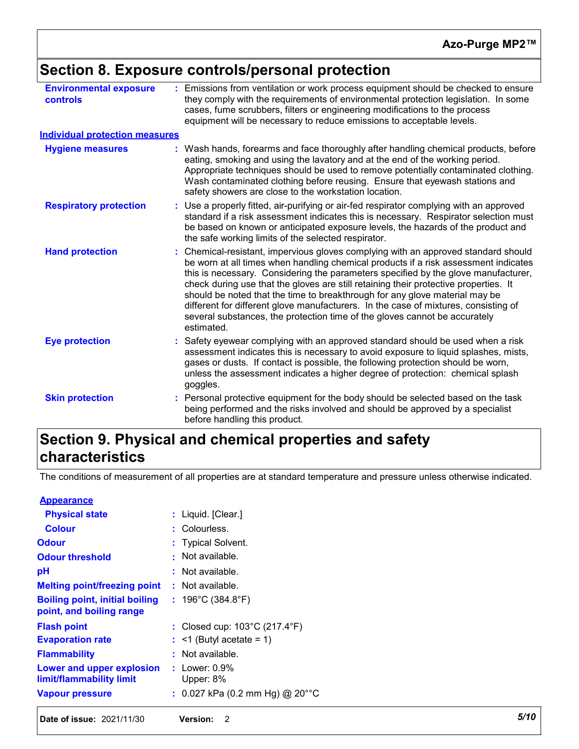### **Section 8. Exposure controls/personal protection**

| <b>Environmental exposure</b><br>controls | : Emissions from ventilation or work process equipment should be checked to ensure<br>they comply with the requirements of environmental protection legislation. In some<br>cases, fume scrubbers, filters or engineering modifications to the process<br>equipment will be necessary to reduce emissions to acceptable levels.                                                                                                                                                                                                                                                                                           |
|-------------------------------------------|---------------------------------------------------------------------------------------------------------------------------------------------------------------------------------------------------------------------------------------------------------------------------------------------------------------------------------------------------------------------------------------------------------------------------------------------------------------------------------------------------------------------------------------------------------------------------------------------------------------------------|
| <b>Individual protection measures</b>     |                                                                                                                                                                                                                                                                                                                                                                                                                                                                                                                                                                                                                           |
| <b>Hygiene measures</b>                   | : Wash hands, forearms and face thoroughly after handling chemical products, before<br>eating, smoking and using the lavatory and at the end of the working period.<br>Appropriate techniques should be used to remove potentially contaminated clothing.<br>Wash contaminated clothing before reusing. Ensure that eyewash stations and<br>safety showers are close to the workstation location.                                                                                                                                                                                                                         |
| <b>Respiratory protection</b>             | : Use a properly fitted, air-purifying or air-fed respirator complying with an approved<br>standard if a risk assessment indicates this is necessary. Respirator selection must<br>be based on known or anticipated exposure levels, the hazards of the product and<br>the safe working limits of the selected respirator.                                                                                                                                                                                                                                                                                                |
| <b>Hand protection</b>                    | : Chemical-resistant, impervious gloves complying with an approved standard should<br>be worn at all times when handling chemical products if a risk assessment indicates<br>this is necessary. Considering the parameters specified by the glove manufacturer,<br>check during use that the gloves are still retaining their protective properties. It<br>should be noted that the time to breakthrough for any glove material may be<br>different for different glove manufacturers. In the case of mixtures, consisting of<br>several substances, the protection time of the gloves cannot be accurately<br>estimated. |
| <b>Eye protection</b>                     | : Safety eyewear complying with an approved standard should be used when a risk<br>assessment indicates this is necessary to avoid exposure to liquid splashes, mists,<br>gases or dusts. If contact is possible, the following protection should be worn,<br>unless the assessment indicates a higher degree of protection: chemical splash<br>goggles.                                                                                                                                                                                                                                                                  |
| <b>Skin protection</b>                    | : Personal protective equipment for the body should be selected based on the task<br>being performed and the risks involved and should be approved by a specialist<br>before handling this product.                                                                                                                                                                                                                                                                                                                                                                                                                       |

### **Section 9. Physical and chemical properties and safety characteristics**

The conditions of measurement of all properties are at standard temperature and pressure unless otherwise indicated.

| <b>Date of issue: 2021/11/30</b>                                  | <b>Version:</b><br>2                               | 5/10 |
|-------------------------------------------------------------------|----------------------------------------------------|------|
| <b>Vapour pressure</b>                                            | : 0.027 kPa (0.2 mm Hg) @ 20°°C                    |      |
| Lower and upper explosion<br>limit/flammability limit             | $:$ Lower: $0.9\%$<br>Upper: 8%                    |      |
| <b>Flammability</b>                                               | : Not available.                                   |      |
| <b>Evaporation rate</b>                                           | $:$ <1 (Butyl acetate = 1)                         |      |
| <b>Flash point</b>                                                | : Closed cup: $103^{\circ}$ C (217.4 $^{\circ}$ F) |      |
| <b>Boiling point, initial boiling</b><br>point, and boiling range | : $196^{\circ}$ C (384.8 $^{\circ}$ F)             |      |
| <b>Melting point/freezing point</b>                               | $:$ Not available.                                 |      |
| рH                                                                | : Not available.                                   |      |
| <b>Odour threshold</b>                                            | Not available.                                     |      |
| <b>Odour</b>                                                      | : Typical Solvent.                                 |      |
| <b>Colour</b>                                                     | : Colourless.                                      |      |
| <b>Physical state</b>                                             | : Liquid. [Clear.]                                 |      |
| <b>Appearance</b>                                                 |                                                    |      |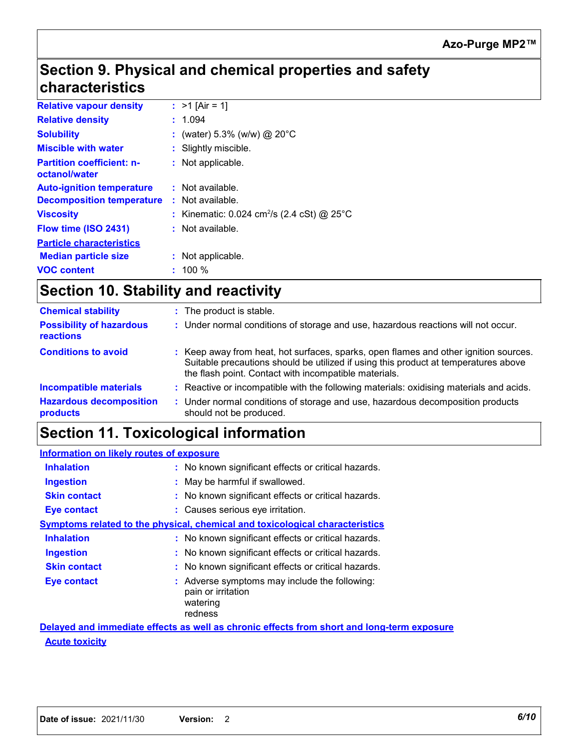### **Section 9. Physical and chemical properties and safety characteristics**

| <b>Relative vapour density</b>                    | : $>1$ [Air = 1]                                         |
|---------------------------------------------------|----------------------------------------------------------|
| <b>Relative density</b>                           | : 1.094                                                  |
| <b>Solubility</b>                                 | : (water) 5.3% (w/w) @ 20°C                              |
| <b>Miscible with water</b>                        | Slightly miscible.                                       |
| <b>Partition coefficient: n-</b><br>octanol/water | : Not applicable.                                        |
| <b>Auto-ignition temperature</b>                  | $:$ Not available.                                       |
| <b>Decomposition temperature</b>                  | $:$ Not available.                                       |
| <b>Viscosity</b>                                  | : Kinematic: $0.024$ cm <sup>2</sup> /s (2.4 cSt) @ 25°C |
| Flow time (ISO 2431)                              | $:$ Not available.                                       |
| <b>Particle characteristics</b>                   |                                                          |
| <b>Median particle size</b>                       | : Not applicable.                                        |
| <b>VOC content</b>                                | $: 100 \%$                                               |

### **Section 10. Stability and reactivity**

| <b>Chemical stability</b>                    | : The product is stable.                                                                                                                                                                                                             |
|----------------------------------------------|--------------------------------------------------------------------------------------------------------------------------------------------------------------------------------------------------------------------------------------|
| <b>Possibility of hazardous</b><br>reactions | : Under normal conditions of storage and use, hazardous reactions will not occur.                                                                                                                                                    |
| <b>Conditions to avoid</b>                   | : Keep away from heat, hot surfaces, sparks, open flames and other ignition sources.<br>Suitable precautions should be utilized if using this product at temperatures above<br>the flash point. Contact with incompatible materials. |
| <b>Incompatible materials</b>                | : Reactive or incompatible with the following materials: oxidising materials and acids.                                                                                                                                              |
| <b>Hazardous decomposition</b><br>products   | : Under normal conditions of storage and use, hazardous decomposition products<br>should not be produced.                                                                                                                            |

### **Section 11. Toxicological information**

| <b>Information on likely routes of exposure</b>                                            |
|--------------------------------------------------------------------------------------------|
| : No known significant effects or critical hazards.                                        |
| : May be harmful if swallowed.                                                             |
| : No known significant effects or critical hazards.                                        |
| : Causes serious eye irritation.                                                           |
| <b>Symptoms related to the physical, chemical and toxicological characteristics</b>        |
| : No known significant effects or critical hazards.                                        |
| : No known significant effects or critical hazards.                                        |
| : No known significant effects or critical hazards.                                        |
| : Adverse symptoms may include the following:<br>pain or irritation<br>watering<br>redness |
|                                                                                            |

**Acute toxicity Delayed and immediate effects as well as chronic effects from short and long-term exposure**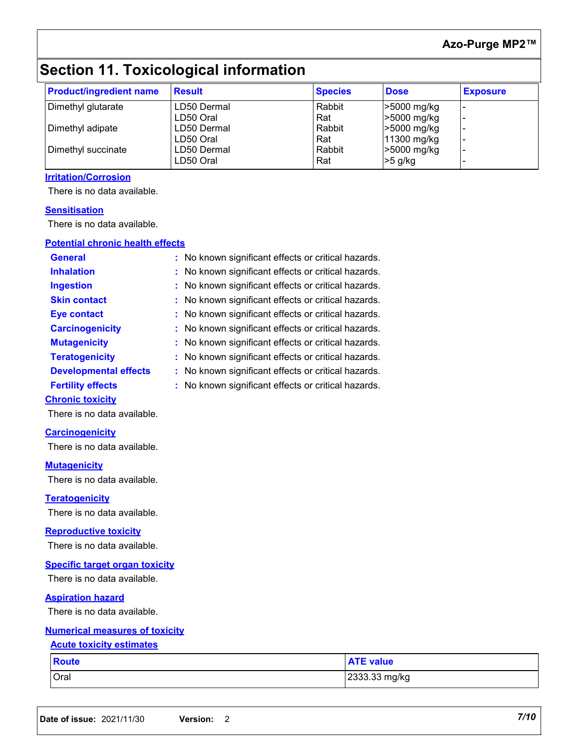### **Azo-Purge MP2™**

## **Section 11. Toxicological information**

| <b>Product/ingredient name</b> | <b>Result</b> | <b>Species</b> | <b>Dose</b> | <b>Exposure</b> |
|--------------------------------|---------------|----------------|-------------|-----------------|
| Dimethyl glutarate             | LD50 Dermal   | Rabbit         | >5000 mg/kg |                 |
|                                | LD50 Oral     | Rat            | >5000 mg/kg |                 |
| Dimethyl adipate               | LD50 Dermal   | Rabbit         | >5000 mg/kg |                 |
|                                | LD50 Oral     | Rat            | 11300 mg/kg |                 |
| Dimethyl succinate             | LD50 Dermal   | Rabbit         | >5000 mg/kg |                 |
|                                | LD50 Oral     | Rat            | $>5$ g/kg   |                 |

#### **Irritation/Corrosion**

There is no data available.

#### **Sensitisation**

There is no data available.

### **General :** No known significant effects or critical hazards. **Carcinogenicity : No known significant effects or critical hazards. Mutagenicity :** No known significant effects or critical hazards. **Teratogenicity :** No known significant effects or critical hazards. **Developmental effects :** No known significant effects or critical hazards. **Fertility effects :** No known significant effects or critical hazards. **Potential chronic health effects Inhalation <b>:** No known significant effects or critical hazards. **Ingestion :** No known significant effects or critical hazards. **Skin contact :** No known significant effects or critical hazards. **Eye contact :** No known significant effects or critical hazards.

#### **Chronic toxicity**

There is no data available.

#### **Carcinogenicity**

There is no data available.

#### **Mutagenicity**

There is no data available.

**Teratogenicity**

There is no data available.

#### **Reproductive toxicity**

There is no data available.

#### **Specific target organ toxicity**

There is no data available.

#### **Aspiration hazard**

There is no data available.

#### **Numerical measures of toxicity**

#### **Acute toxicity estimates**

| <b>Route</b> | <b>ATE value</b> |
|--------------|------------------|
| Oral         | 2333.33 mg/kg    |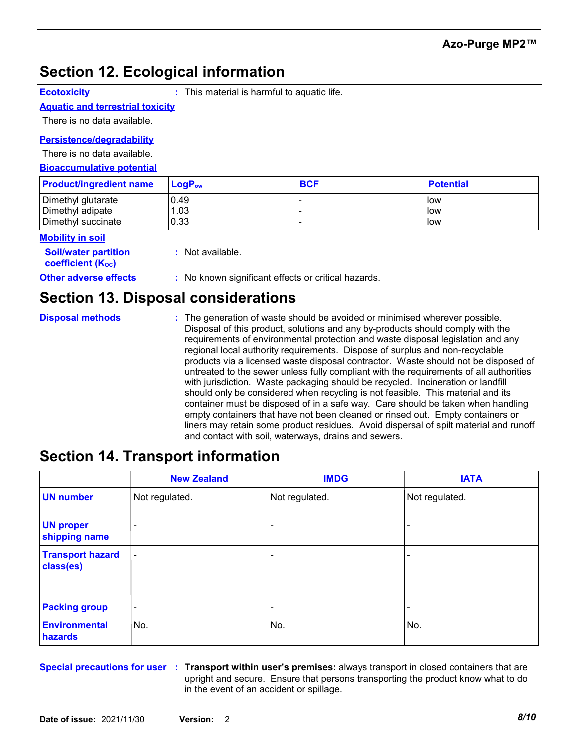### **Section 12. Ecological information**

**Ecotoxicity :** This material is harmful to aquatic life.

#### **Aquatic and terrestrial toxicity**

There is no data available.

#### **Persistence/degradability**

There is no data available.

#### **Bioaccumulative potential**

| <b>Product/ingredient name</b> | LogP <sub>ow</sub> | <b>BCF</b> | <b>Potential</b> |
|--------------------------------|--------------------|------------|------------------|
| Dimethyl glutarate             | 0.49               |            | <b>llow</b>      |
| Dimethyl adipate               | . .03              |            | <b>Ilow</b>      |
| Dimethyl succinate             | 0.33               |            | llow             |

#### **Mobility in soil**

| <b>Soil/water partition</b><br>coefficient (K <sub>oc</sub> ) | : Not available.                                    |
|---------------------------------------------------------------|-----------------------------------------------------|
| <b>Other adverse effects</b>                                  | : No known significant effects or critical hazards. |

### **Section 13. Disposal considerations**

| <b>Disposal methods</b> | : The generation of waste should be avoided or minimised wherever possible.<br>Disposal of this product, solutions and any by-products should comply with the                |
|-------------------------|------------------------------------------------------------------------------------------------------------------------------------------------------------------------------|
|                         | requirements of environmental protection and waste disposal legislation and any                                                                                              |
|                         | regional local authority requirements. Dispose of surplus and non-recyclable                                                                                                 |
|                         | products via a licensed waste disposal contractor. Waste should not be disposed of<br>untreated to the sewer unless fully compliant with the requirements of all authorities |
|                         | with jurisdiction. Waste packaging should be recycled. Incineration or landfill                                                                                              |
|                         | should only be considered when recycling is not feasible. This material and its                                                                                              |
|                         | container must be disposed of in a safe way. Care should be taken when handling                                                                                              |
|                         | empty containers that have not been cleaned or rinsed out. Empty containers or                                                                                               |
|                         | liners may retain some product residues. Avoid dispersal of spilt material and runoff                                                                                        |
|                         | and contact with soil, waterways, drains and sewers.                                                                                                                         |

### **Section 14. Transport information**

|                                      | <b>New Zealand</b>       | <b>IMDG</b>    | <b>IATA</b>              |
|--------------------------------------|--------------------------|----------------|--------------------------|
| <b>UN number</b>                     | Not regulated.           | Not regulated. | Not regulated.           |
| <b>UN proper</b><br>shipping name    | $\overline{\phantom{0}}$ |                | $\qquad \qquad$          |
| <b>Transport hazard</b><br>class(es) | $\overline{\phantom{a}}$ |                | $\qquad \qquad$          |
| <b>Packing group</b>                 | $\overline{\phantom{a}}$ | ۰              | $\overline{\phantom{a}}$ |
| <b>Environmental</b><br>hazards      | No.                      | No.            | No.                      |

**Special precautions for user Transport within user's premises:** always transport in closed containers that are **:** upright and secure. Ensure that persons transporting the product know what to do in the event of an accident or spillage.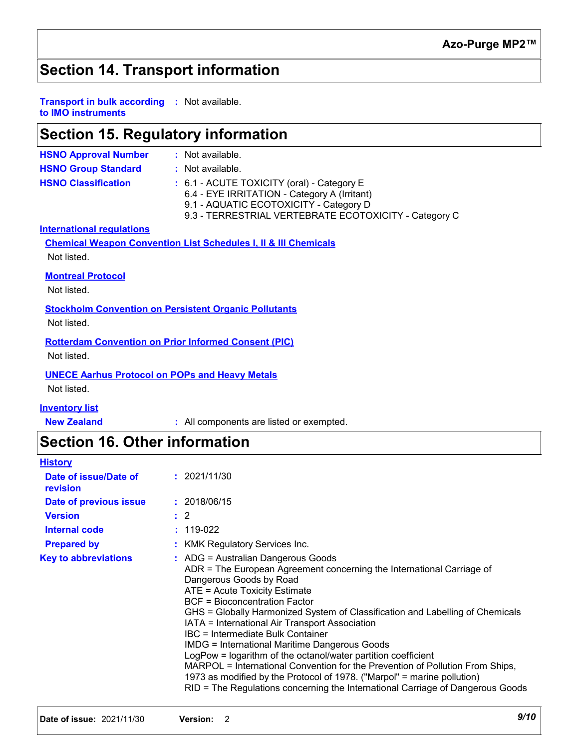### **Section 14. Transport information**

#### **Transport in bulk according :** Not available. **to IMO instruments**

### **Section 15. Regulatory information**

| <b>HSNO Approval Number</b>                                                 | : Not available.                                                                                                                                                                              |
|-----------------------------------------------------------------------------|-----------------------------------------------------------------------------------------------------------------------------------------------------------------------------------------------|
| <b>HSNO Group Standard</b>                                                  | : Not available.                                                                                                                                                                              |
| <b>HSNO Classification</b>                                                  | : 6.1 - ACUTE TOXICITY (oral) - Category E<br>6.4 - EYE IRRITATION - Category A (Irritant)<br>9.1 - AQUATIC ECOTOXICITY - Category D<br>9.3 - TERRESTRIAL VERTEBRATE ECOTOXICITY - Category C |
| <b>International regulations</b>                                            |                                                                                                                                                                                               |
|                                                                             | <b>Chemical Weapon Convention List Schedules I, II &amp; III Chemicals</b>                                                                                                                    |
| Not listed.                                                                 |                                                                                                                                                                                               |
| <b>Montreal Protocol</b><br>Not listed.                                     |                                                                                                                                                                                               |
| <b>Stockholm Convention on Persistent Organic Pollutants</b><br>Not listed. |                                                                                                                                                                                               |
| <b>Rotterdam Convention on Prior Informed Consent (PIC)</b><br>Not listed.  |                                                                                                                                                                                               |
| <b>UNECE Aarhus Protocol on POPs and Heavy Metals</b><br>Not listed.        |                                                                                                                                                                                               |
| <b>Inventory list</b>                                                       |                                                                                                                                                                                               |

**New Zealand :** All components are listed or exempted.

### **Section 16. Other information**

| <b>History</b>                    |                                                                                                                                                                                                                                                                                                                                                                                                                                                                                                                                                                                                                                                                                                                                                         |
|-----------------------------------|---------------------------------------------------------------------------------------------------------------------------------------------------------------------------------------------------------------------------------------------------------------------------------------------------------------------------------------------------------------------------------------------------------------------------------------------------------------------------------------------------------------------------------------------------------------------------------------------------------------------------------------------------------------------------------------------------------------------------------------------------------|
| Date of issue/Date of<br>revision | : 2021/11/30                                                                                                                                                                                                                                                                                                                                                                                                                                                                                                                                                                                                                                                                                                                                            |
| Date of previous issue            | : 2018/06/15                                                                                                                                                                                                                                                                                                                                                                                                                                                                                                                                                                                                                                                                                                                                            |
| <b>Version</b>                    | $\therefore$ 2                                                                                                                                                                                                                                                                                                                                                                                                                                                                                                                                                                                                                                                                                                                                          |
| Internal code                     | $: 119-022$                                                                                                                                                                                                                                                                                                                                                                                                                                                                                                                                                                                                                                                                                                                                             |
| <b>Prepared by</b>                | : KMK Regulatory Services Inc.                                                                                                                                                                                                                                                                                                                                                                                                                                                                                                                                                                                                                                                                                                                          |
| <b>Key to abbreviations</b>       | : ADG = Australian Dangerous Goods<br>ADR = The European Agreement concerning the International Carriage of<br>Dangerous Goods by Road<br>ATE = Acute Toxicity Estimate<br>BCF = Bioconcentration Factor<br>GHS = Globally Harmonized System of Classification and Labelling of Chemicals<br>IATA = International Air Transport Association<br>IBC = Intermediate Bulk Container<br><b>IMDG = International Maritime Dangerous Goods</b><br>LogPow = logarithm of the octanol/water partition coefficient<br>MARPOL = International Convention for the Prevention of Pollution From Ships,<br>1973 as modified by the Protocol of 1978. ("Marpol" = marine pollution)<br>RID = The Regulations concerning the International Carriage of Dangerous Goods |